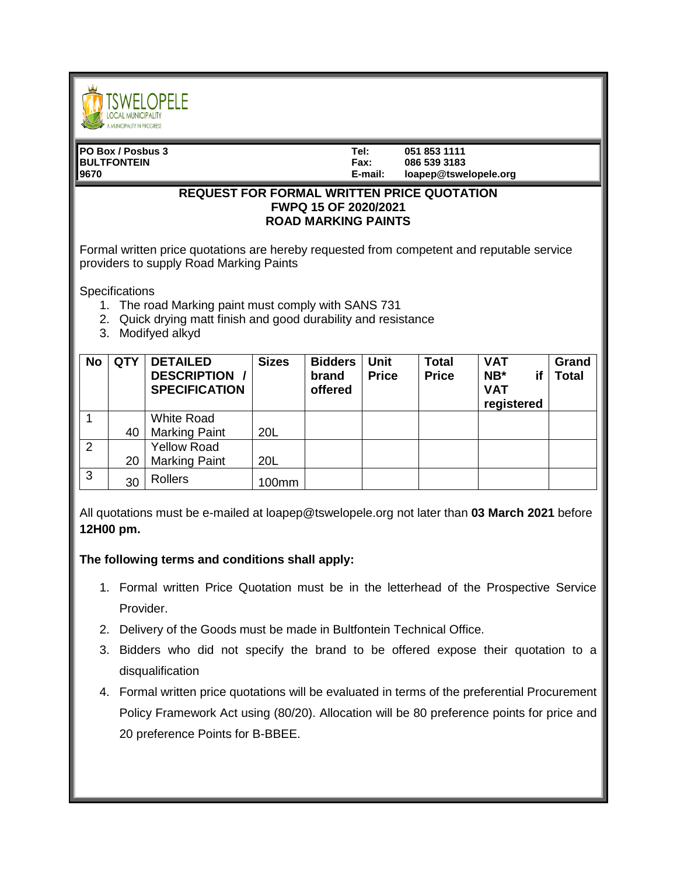

| IPO Box / Posbus 3 | Tel:        | 051 853 1111          |
|--------------------|-------------|-----------------------|
| <b>BULTFONTEIN</b> | <b>Fax:</b> | 086 539 3183          |
| 9670               | E-mail:     | loapep@tswelopele.org |
|                    |             |                       |

## **REQUEST FOR FORMAL WRITTEN PRICE QUOTATION FWPQ 15 OF 2020/2021 ROAD MARKING PAINTS**

Formal written price quotations are hereby requested from competent and reputable service providers to supply Road Marking Paints

**Specifications** 

- 1. The road Marking paint must comply with SANS 731
- 2. Quick drying matt finish and good durability and resistance
- 3. Modifyed alkyd

| <b>No</b> | <b>QTY</b> | <b>DETAILED</b><br><b>DESCRIPTION /</b><br><b>SPECIFICATION</b> | <b>Sizes</b> | <b>Bidders</b><br>brand<br>offered | <b>Unit</b><br><b>Price</b> | <b>Total</b><br><b>Price</b> | <b>VAT</b><br>$NB^*$<br>if<br><b>VAT</b><br>registered | Grand<br><b>Total</b> |
|-----------|------------|-----------------------------------------------------------------|--------------|------------------------------------|-----------------------------|------------------------------|--------------------------------------------------------|-----------------------|
|           |            | <b>White Road</b>                                               |              |                                    |                             |                              |                                                        |                       |
|           | 40         | <b>Marking Paint</b>                                            | 20L          |                                    |                             |                              |                                                        |                       |
| 2         |            | <b>Yellow Road</b>                                              |              |                                    |                             |                              |                                                        |                       |
|           | 20         | <b>Marking Paint</b>                                            | 20L          |                                    |                             |                              |                                                        |                       |
| 3         | 30         | <b>Rollers</b>                                                  | 100mm        |                                    |                             |                              |                                                        |                       |

All quotations must be e-mailed at loapep@tswelopele.org not later than **03 March 2021** before **12H00 pm.**

## **The following terms and conditions shall apply:**

- 1. Formal written Price Quotation must be in the letterhead of the Prospective Service Provider.
- 2. Delivery of the Goods must be made in Bultfontein Technical Office.
- 3. Bidders who did not specify the brand to be offered expose their quotation to a disqualification
- 4. Formal written price quotations will be evaluated in terms of the preferential Procurement Policy Framework Act using (80/20). Allocation will be 80 preference points for price and 20 preference Points for B-BBEE.